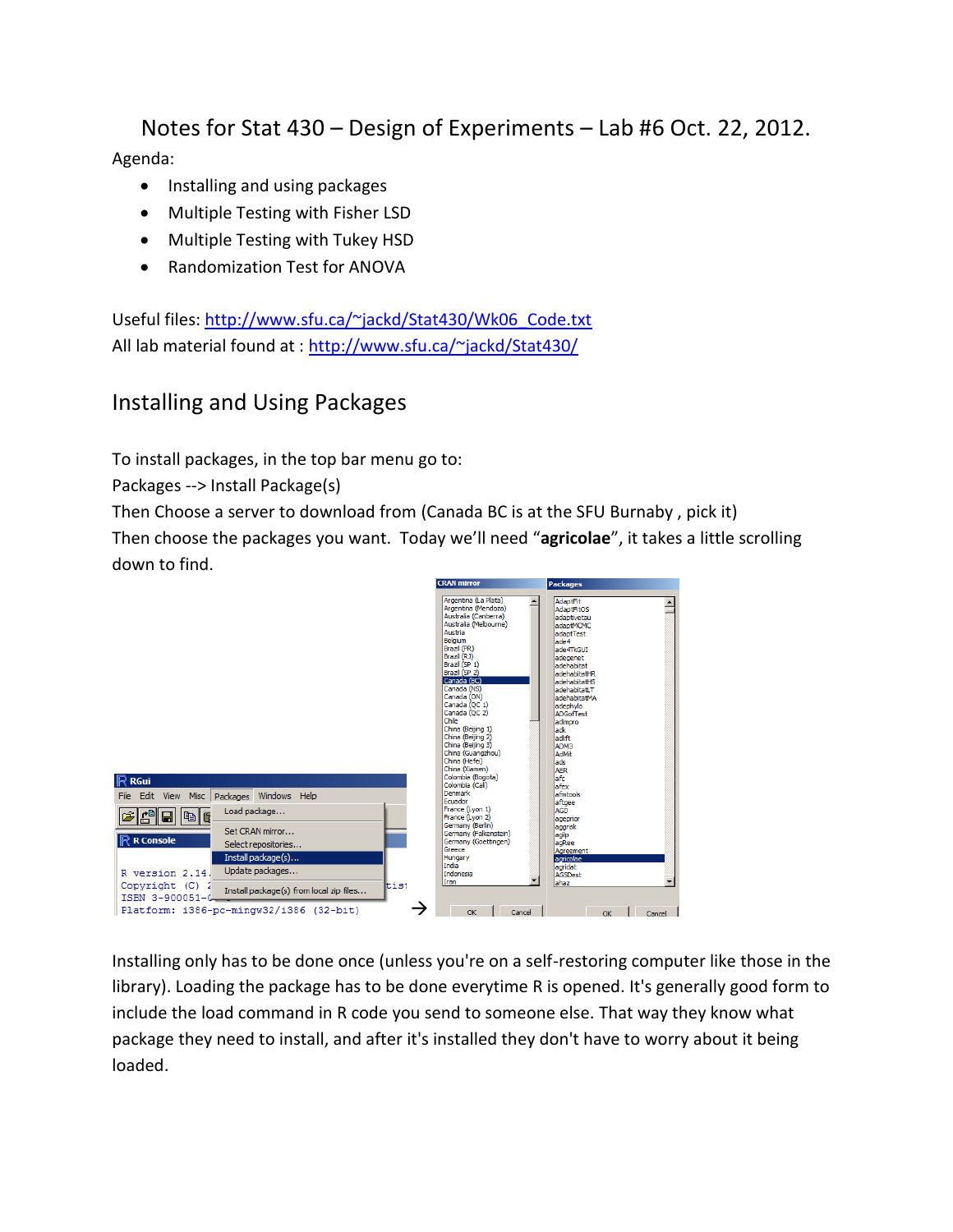Notes for Stat 430 – Design of Experiments – Lab #6 Oct. 22, 2012. Agenda:

- Installing and using packages
- Multiple Testing with Fisher LSD
- Multiple Testing with Tukey HSD
- Randomization Test for ANOVA

Useful files: [http://www.sfu.ca/~jackd/Stat430/Wk06\\_Code.txt](http://www.sfu.ca/~jackd/Stat430/Wk06_Code.txt) All lab material found at :<http://www.sfu.ca/~jackd/Stat430/>

## Installing and Using Packages

To install packages, in the top bar menu go to:

Packages --> Install Package(s)

Then Choose a server to download from (Canada BC is at the SFU Burnaby , pick it)

Then choose the packages you want. Today we'll need "**agricolae**", it takes a little scrolling down to find.



Installing only has to be done once (unless you're on a self-restoring computer like those in the library). Loading the package has to be done everytime R is opened. It's generally good form to include the load command in R code you send to someone else. That way they know what package they need to install, and after it's installed they don't have to worry about it being loaded.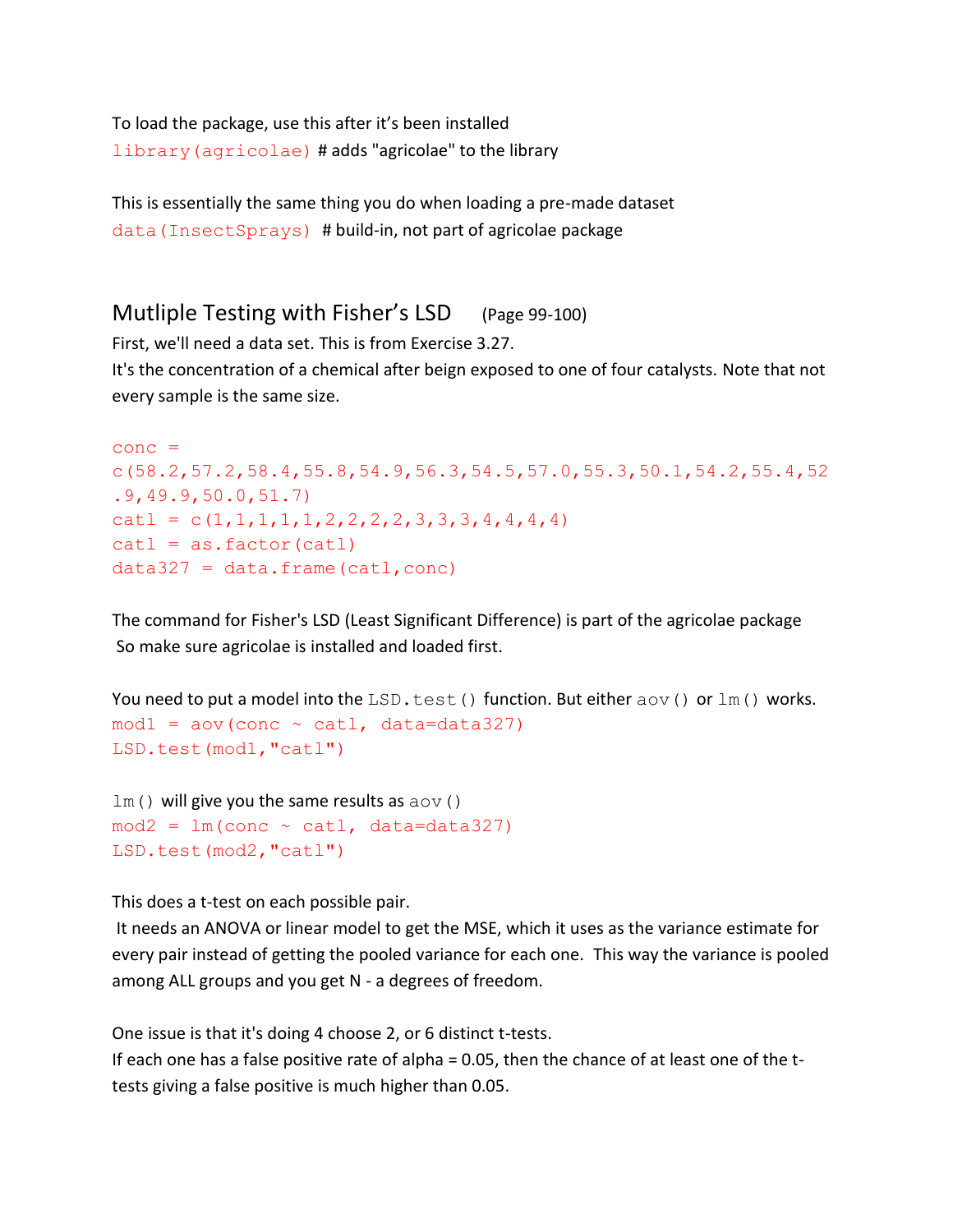To load the package, use this after it's been installed library(agricolae) # adds "agricolae" to the library

This is essentially the same thing you do when loading a pre-made dataset data(InsectSprays) # build-in, not part of agricolae package

## Mutliple Testing with Fisher's LSD (Page 99-100)

First, we'll need a data set. This is from Exercise 3.27.

It's the concentration of a chemical after beign exposed to one of four catalysts. Note that not every sample is the same size.

```
cone =c(58.2,57.2,58.4,55.8,54.9,56.3,54.5,57.0,55.3,50.1,54.2,55.4,52
.9,49.9,50.0,51.7)
catl = c(1,1,1,1,1,2,2,2,2,3,3,3,4,4,4,4)cat1 = as.factor(catl)data327 = data.frame(catl, conc)
```
The command for Fisher's LSD (Least Significant Difference) is part of the agricolae package So make sure agricolae is installed and loaded first.

```
You need to put a model into the LSD.test() function. But either aov() or lm() works.
mod1 = av(conc \sim cat1, data=data327)LSD.test(mod1,"catl")
```

```
lm() will give you the same results as aov()mod2 = lm(conc \sim cat1, data=data327)LSD.test(mod2,"catl")
```
This does a t-test on each possible pair.

It needs an ANOVA or linear model to get the MSE, which it uses as the variance estimate for every pair instead of getting the pooled variance for each one. This way the variance is pooled among ALL groups and you get N - a degrees of freedom.

One issue is that it's doing 4 choose 2, or 6 distinct t-tests.

If each one has a false positive rate of alpha = 0.05, then the chance of at least one of the ttests giving a false positive is much higher than 0.05.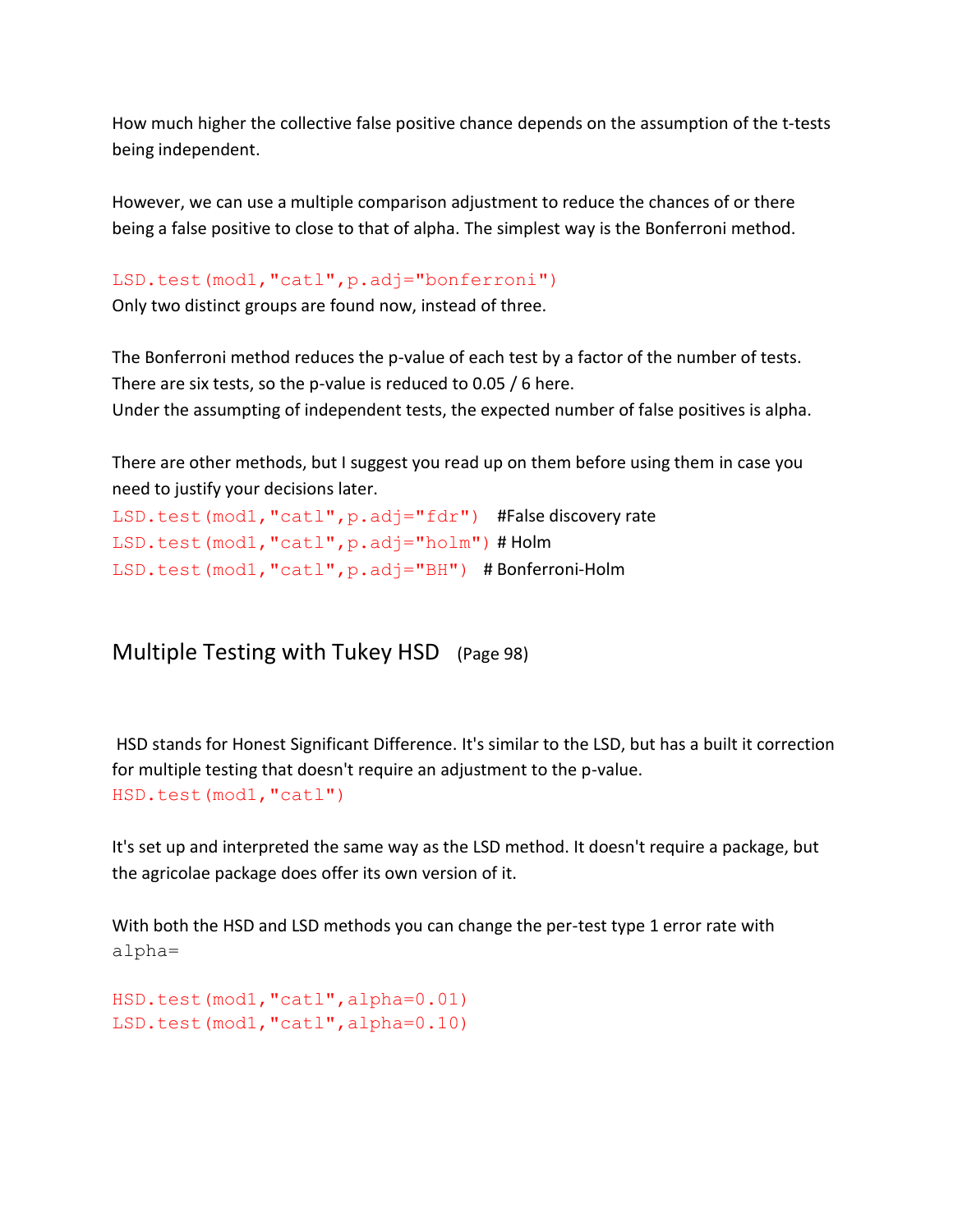How much higher the collective false positive chance depends on the assumption of the t-tests being independent.

However, we can use a multiple comparison adjustment to reduce the chances of or there being a false positive to close to that of alpha. The simplest way is the Bonferroni method.

## LSD.test(mod1,"catl",p.adj="bonferroni")

Only two distinct groups are found now, instead of three.

The Bonferroni method reduces the p-value of each test by a factor of the number of tests. There are six tests, so the p-value is reduced to 0.05 / 6 here. Under the assumpting of independent tests, the expected number of false positives is alpha.

There are other methods, but I suggest you read up on them before using them in case you need to justify your decisions later.

```
LSD.test(mod1,"catl",p.adj="fdr") #False discovery rate
LSD.test(mod1,"catl",p.adj="holm") # Holm 
LSD.test(mod1,"catl",p.adj="BH") # Bonferroni-Holm
```
Multiple Testing with Tukey HSD (Page 98)

HSD stands for Honest Significant Difference. It's similar to the LSD, but has a built it correction for multiple testing that doesn't require an adjustment to the p-value. HSD.test(mod1,"catl")

It's set up and interpreted the same way as the LSD method. It doesn't require a package, but the agricolae package does offer its own version of it.

With both the HSD and LSD methods you can change the per-test type 1 error rate with alpha=

```
HSD.test(mod1,"catl",alpha=0.01)
LSD.test(mod1,"catl",alpha=0.10)
```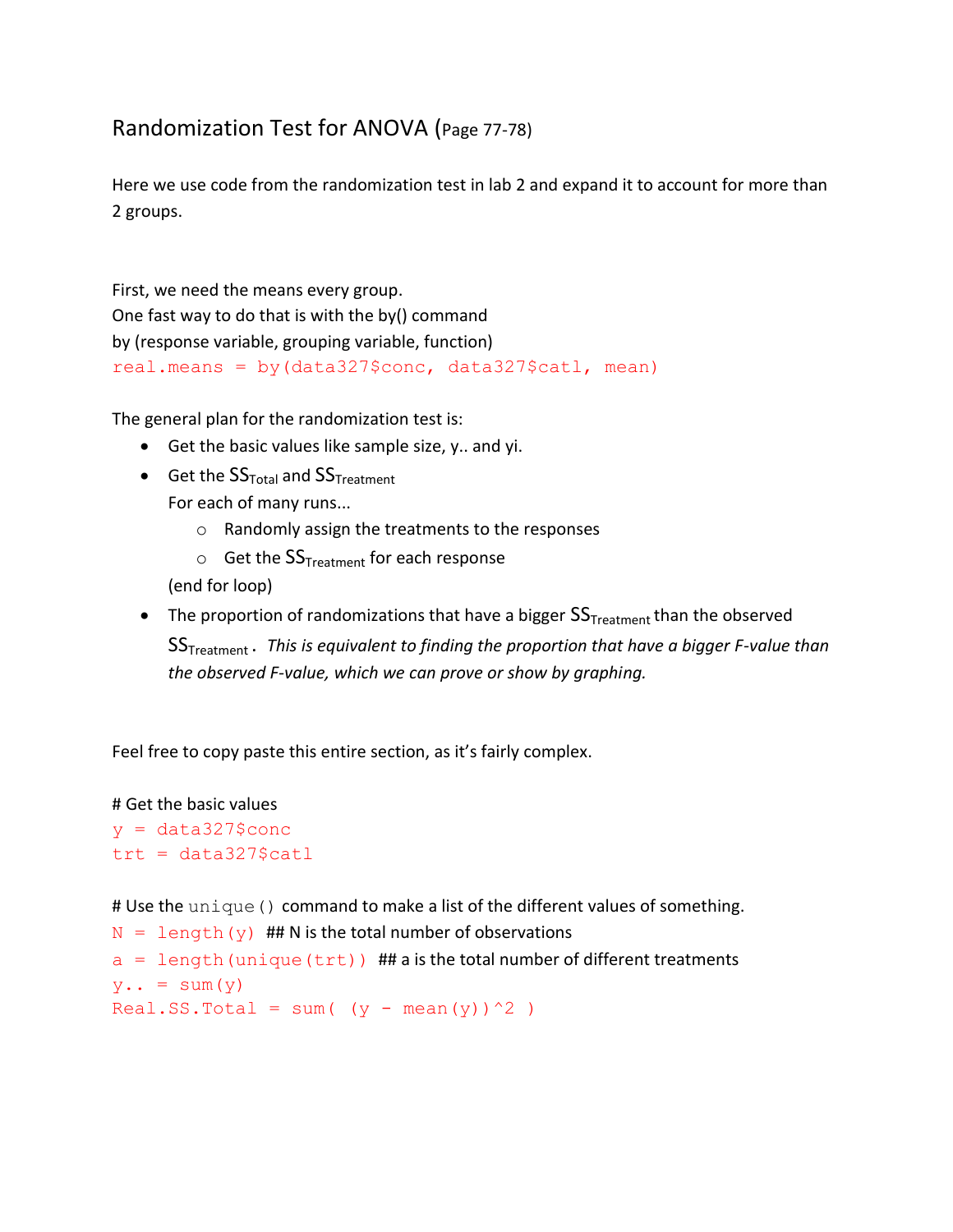## Randomization Test for ANOVA (Page 77-78)

Here we use code from the randomization test in lab 2 and expand it to account for more than 2 groups.

First, we need the means every group. One fast way to do that is with the by() command by (response variable, grouping variable, function) real.means = by(data327\$conc, data327\$catl, mean)

The general plan for the randomization test is:

- Get the basic values like sample size, y.. and yi.
- Get the  $SS<sub>Total</sub>$  and  $SS<sub>Treatment</sub>$ For each of many runs...
	- o Randomly assign the treatments to the responses
	- $\circ$  Get the  $SS_{Treatment}$  for each response

(end for loop)

• The proportion of randomizations that have a bigger  $SS<sub>Treatment</sub>$  than the observed SSTreatment . *This is equivalent to finding the proportion that have a bigger F-value than the observed F-value, which we can prove or show by graphing.*

Feel free to copy paste this entire section, as it's fairly complex.

# Get the basic values  $y = data327$ \$conc  $trt = data327$ \$catl

# Use the unique () command to make a list of the different values of something.

```
N = length (y) ## N is the total number of observations
a = length (unique (trt)) ## a is the total number of different treatments
y \cdot z = sum(y)
```

```
Real.SS.Total = sum( (y - \text{mean}(y))^2 )
```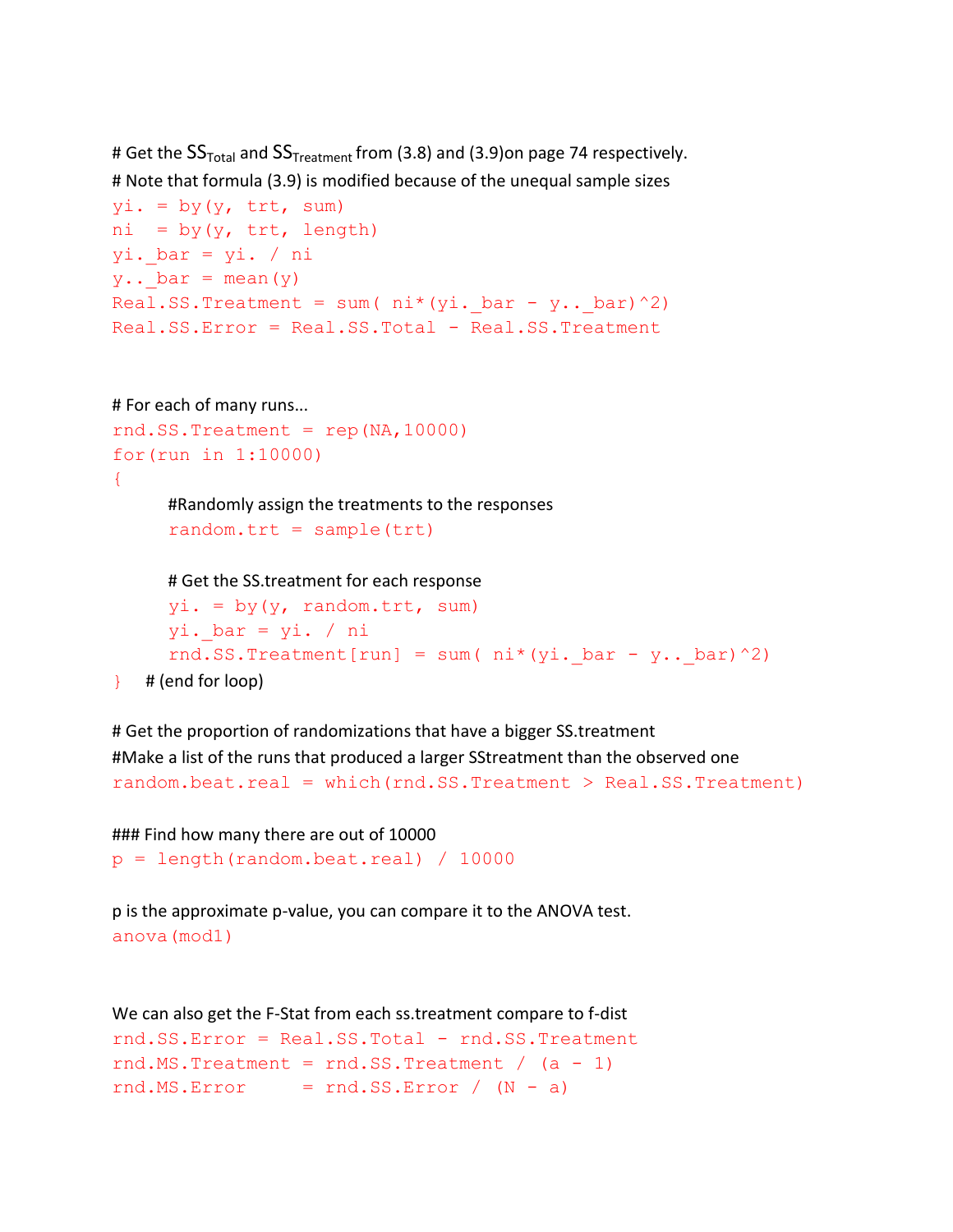```
# Get the SS<sub>Total</sub> and SS<sub>Treatment</sub> from (3.8) and (3.9)on page 74 respectively.
# Note that formula (3.9) is modified because of the unequal sample sizes
yi. = by(y, trt, sum)ni = by(y, trt, length)yi. bar = yi. / ni
y \cdot \cdot bar = mean(y)
Real.SS.Treatment = sum(ni*(yi. bar - y.. bar)^2)
Real.SS.Error = Real.SS.Total - Real.SS.Treatment
# For each of many runs...
rnd.SS.Treatment = rep(NA,10000)for(run in 1:10000)
{
      #Randomly assign the treatments to the responses
      random.txt = sample(trt)# Get the SS.treatment for each response
      yi. = by(y, random.tr_t, sum)yi. bar = yi. / ni
      rnd.SS.Treatment[run] = sum( ni*(yi. bar - y.. bar)^2)
```
 $\}$  # (end for loop)

# Get the proportion of randomizations that have a bigger SS.treatment #Make a list of the runs that produced a larger SStreatment than the observed one random.beat.real = which(rnd.SS.Treatment > Real.SS.Treatment)

```
### Find how many there are out of 10000
p = length(random.beat.real) / 10000
```
p is the approximate p-value, you can compare it to the ANOVA test. anova(mod1)

```
We can also get the F-Stat from each ss.treatment compare to f-dist
rnd.SS.Error = Real.SS.Total - rnd.SS.Treatment
rnd.MS.Treatment = rnd.SS.Treatment / (a - 1)rnd.MS.Error = rnd.SS.Error / (N - a)
```